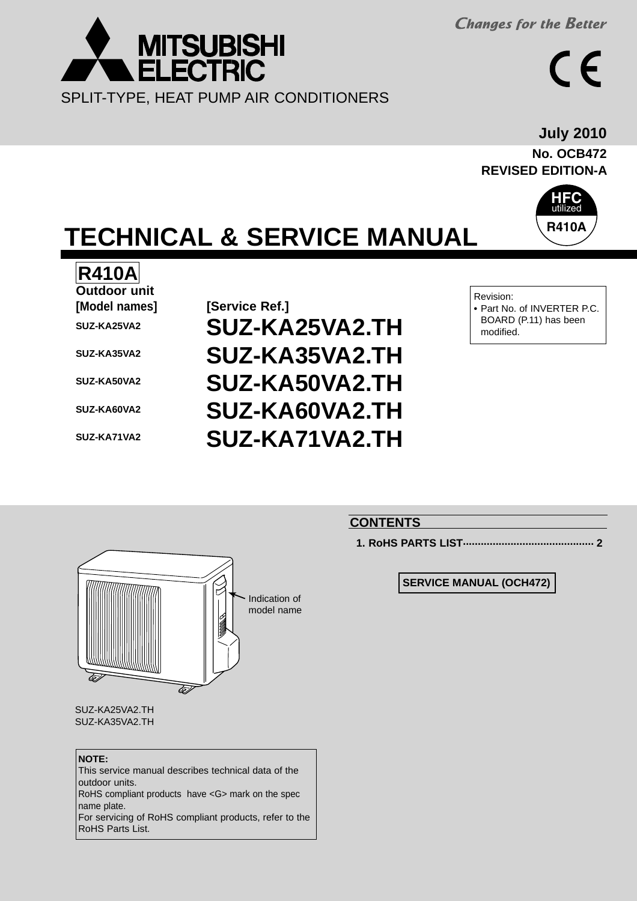**Changes for the Better** 



**No. OCB472 REVISED EDITION-A July 2010**



# **TECHNICAL & SERVICE MANUAL**

# **R410A**

**Outdoor unit [Model names] [Service Ref.] SUZ-KA25VA2 SUZ-KA35VA2 SUZ-KA50VA2 SUZ-KA60VA2 SUZ-KA71VA2**

# **SUZ-KA25VA2.TH SUZ-KA35VA2.TH SUZ-KA50VA2.TH SUZ-KA60VA2.TH SUZ-KA71VA2.TH**



## **CONTENTS**

**1. RoHS PARTS LIST............................................ 2**

**SERVICE MANUAL (OCH472)**

![](_page_0_Picture_13.jpeg)

SUZ-KA25VA2.TH SUZ-KA35VA2.TH

#### **NOTE:**

This service manual describes technical data of the outdoor units.

RoHS compliant products have <G> mark on the spec name plate.

For servicing of RoHS compliant products, refer to the RoHS Parts List.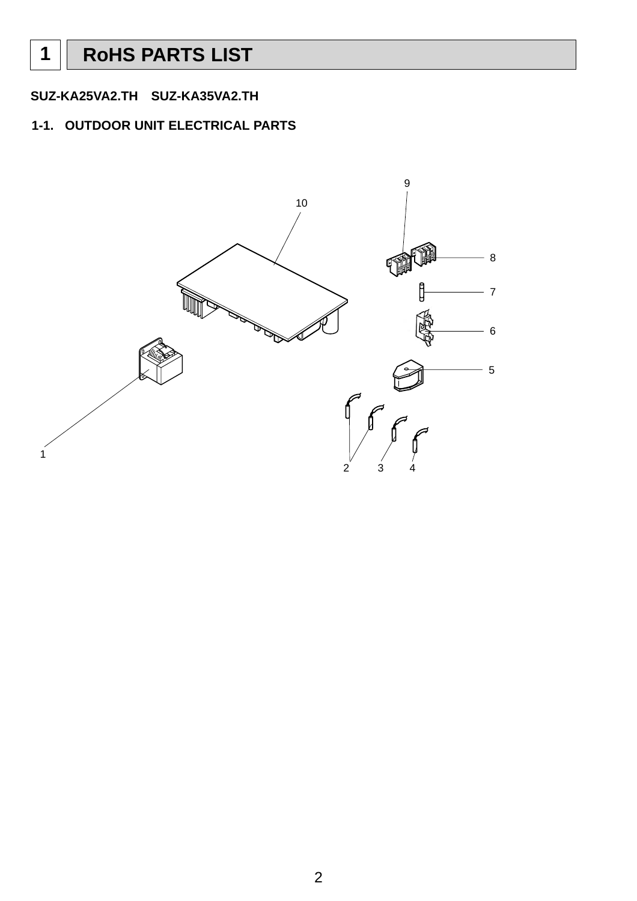## **1-1. OUTDOOR UNIT ELECTRICAL PARTS**

![](_page_1_Figure_3.jpeg)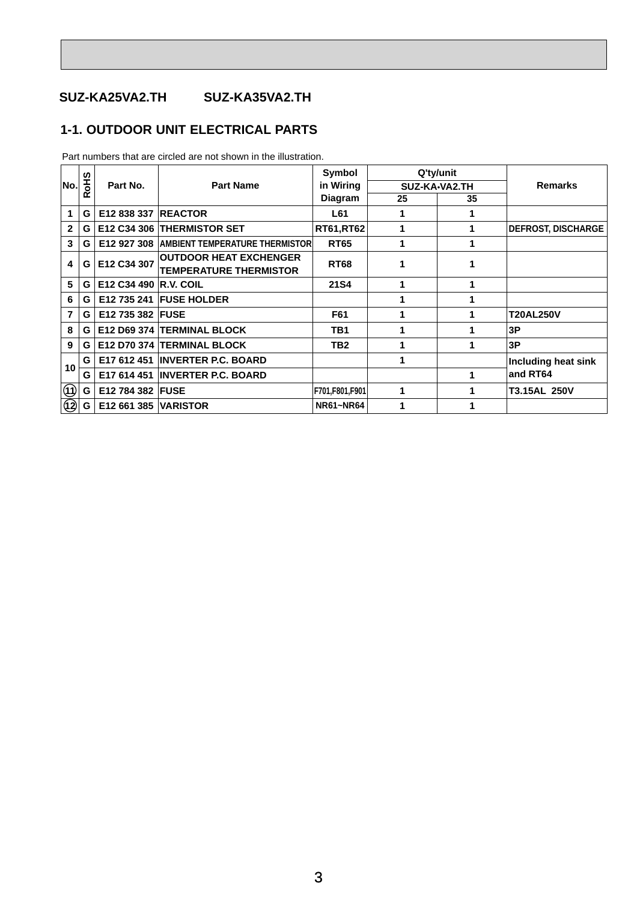## **1-1. OUTDOOR UNIT ELECTRICAL PARTS**

|                                |     |                             |                                                                | Symbol           |                      | Q'ty/unit     |                           |
|--------------------------------|-----|-----------------------------|----------------------------------------------------------------|------------------|----------------------|---------------|---------------------------|
| No.                            | SHO | Part No.                    | <b>Part Name</b>                                               | in Wiring        |                      | SUZ-KA-VA2.TH | <b>Remarks</b>            |
|                                | Y   |                             |                                                                | <b>Diagram</b>   | 25                   | 35            |                           |
| 1                              | G   | E12 838 337                 | <b>REACTOR</b>                                                 | L61              | 1                    | 1             |                           |
| $\mathbf{2}$                   | G   |                             | E12 C34 306 THERMISTOR SET                                     | <b>RT61,RT62</b> |                      |               | <b>DEFROST, DISCHARGE</b> |
| 3                              | G   |                             | <b>E12 927 308 AMBIENT TEMPERATURE THERMISTOR</b>              | <b>RT65</b>      |                      | 1             |                           |
| 4                              | G   | E12 C34 307                 | <b>OUTDOOR HEAT EXCHENGER</b><br><b>TEMPERATURE THERMISTOR</b> | <b>RT68</b>      |                      |               |                           |
| 5                              | G   | E12 C34 490 R.V. COIL       |                                                                | <b>21S4</b>      |                      |               |                           |
| 6                              | G   |                             | <b>E12 735 241 FUSE HOLDER</b>                                 |                  |                      |               |                           |
| 7                              | G   | E12 735 382   FUSE          |                                                                | F61              |                      | 1             | <b>T20AL250V</b>          |
| 8                              | G   |                             | E12 D69 374 TERMINAL BLOCK                                     | TB1              |                      |               | 3P                        |
| 9                              | G   |                             | E12 D70 374 TERMINAL BLOCK                                     | TB <sub>2</sub>  |                      | 1             | 3P                        |
| 10 <sup>°</sup>                | G   |                             | E17 612 451 INVERTER P.C. BOARD                                |                  |                      |               | Including heat sink       |
|                                | G   |                             | E17 614 451 INVERTER P.C. BOARD                                |                  |                      | 1             | and RT64                  |
| $\textcircled{\scriptsize{1}}$ | G I | E12 784 382 FUSE            |                                                                | F701,F801,F901   | $\blacktriangleleft$ | 1             | T3.15AL 250V              |
| $\circled{2}$                  | G I | <b>E12 661 385 VARISTOR</b> |                                                                | <b>NR61~NR64</b> |                      |               |                           |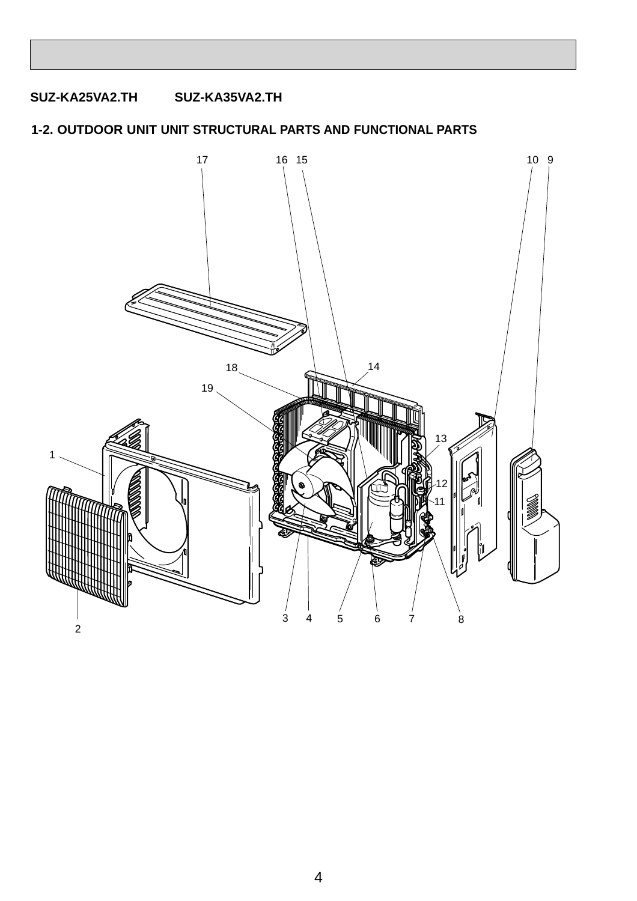## **1-2. OUTDOOR UNIT UNIT STRUCTURAL PARTS AND FUNCTIONAL PARTS**

![](_page_3_Picture_2.jpeg)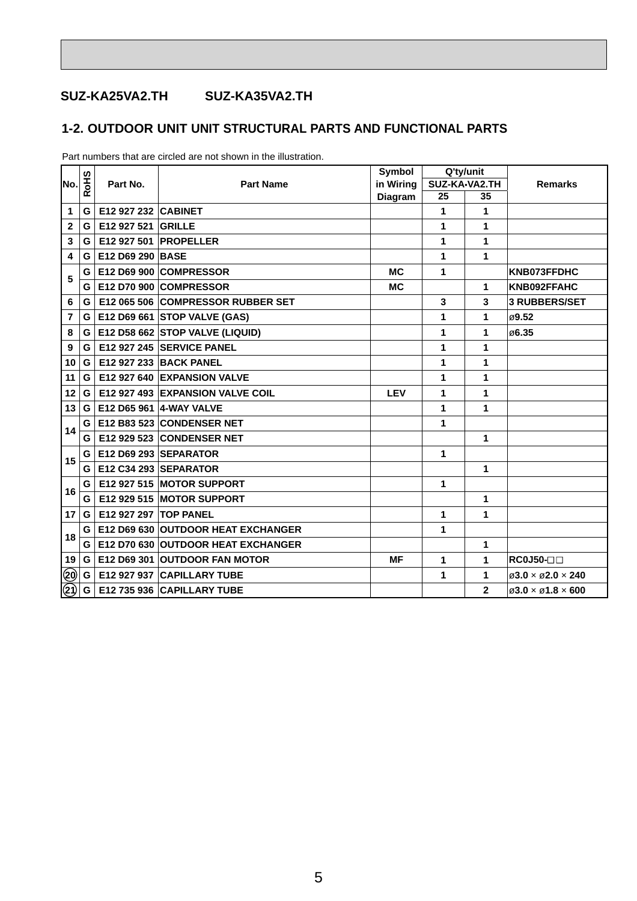## **1-2. OUTDOOR UNIT UNIT STRUCTURAL PARTS AND FUNCTIONAL PARTS**

|                                                                                       |     |                     | <b>Part Name</b>                   | Symbol     |    | Q'ty/unit      |                                             |  |
|---------------------------------------------------------------------------------------|-----|---------------------|------------------------------------|------------|----|----------------|---------------------------------------------|--|
| No.                                                                                   | SHO | Part No.            |                                    | in Wiring  |    | SUZ-KA-VA2.TH  | <b>Remarks</b>                              |  |
|                                                                                       | œ   |                     |                                    | Diagram    | 25 | 35             |                                             |  |
| 1                                                                                     | G   | E12 927 232 CABINET |                                    |            | 1  | 1              |                                             |  |
| $\mathbf{2}$                                                                          | G   | E12 927 521         | <b>GRILLE</b>                      |            | 1  | 1              |                                             |  |
| 3                                                                                     | G   | E12 927 501         | PROPELLER                          |            | 1  | 1              |                                             |  |
| 4                                                                                     | G   | E12 D69 290 BASE    |                                    |            | 1  | 1              |                                             |  |
| 5                                                                                     | G   |                     | E12 D69 900 COMPRESSOR             | <b>MC</b>  | 1  |                | KNB073FFDHC                                 |  |
|                                                                                       | G   |                     | E12 D70 900 COMPRESSOR             | <b>MC</b>  |    | 1              | KNB092FFAHC                                 |  |
| 6                                                                                     | G   |                     | E12 065 506 COMPRESSOR RUBBER SET  |            | 3  | 3              | <b>3 RUBBERS/SET</b>                        |  |
| $\overline{7}$                                                                        | G   |                     | E12 D69 661 STOP VALVE (GAS)       |            | 1  | 1              | ø9.52                                       |  |
| 8                                                                                     | G   |                     | E12 D58 662 STOP VALVE (LIQUID)    |            | 1  | 1              | ø6.35                                       |  |
| 9                                                                                     | G   |                     | E12 927 245 SERVICE PANEL          |            | 1  | 1              |                                             |  |
| 10                                                                                    | G   |                     | E12 927 233 BACK PANEL             |            | 1  | 1              |                                             |  |
| 11                                                                                    | G   |                     | E12 927 640 EXPANSION VALVE        |            | 1  | 1              |                                             |  |
| 12                                                                                    | G   |                     | E12 927 493 EXPANSION VALVE COIL   | <b>LEV</b> | 1  | 1              |                                             |  |
| 13                                                                                    | G   |                     | E12 D65 961 4-WAY VALVE            |            | 1  | 1              |                                             |  |
| 14                                                                                    | G   |                     | E12 B83 523 CONDENSER NET          |            | 1  |                |                                             |  |
|                                                                                       | G   |                     | <b>E12 929 523 CONDENSER NET</b>   |            |    | 1              |                                             |  |
|                                                                                       | G   |                     | <b>E12 D69 293 SEPARATOR</b>       |            | 1  |                |                                             |  |
| 15                                                                                    | G   |                     | E12 C34 293 SEPARATOR              |            |    | 1              |                                             |  |
| 16                                                                                    | G   |                     | E12 927 515 MOTOR SUPPORT          |            | 1  |                |                                             |  |
|                                                                                       | G   |                     | E12 929 515 MOTOR SUPPORT          |            |    | 1              |                                             |  |
| 17                                                                                    | G   | E12 927 297         | <b>TOP PANEL</b>                   |            | 1  | 1              |                                             |  |
|                                                                                       | G   |                     | E12 D69 630 OUTDOOR HEAT EXCHANGER |            | 1  |                |                                             |  |
| 18                                                                                    | G   |                     | E12 D70 630 OUTDOOR HEAT EXCHANGER |            |    | 1              |                                             |  |
| 19                                                                                    | G   |                     | E12 D69 301 OUTDOOR FAN MOTOR      | МF         | 1  | 1              | $RC0J50-T$                                  |  |
| $\overline{\overset{\textcircled{\footnotesize{0}}}{\textcircled{\footnotesize{2}}}}$ | G I |                     | E12 927 937 CAPILLARY TUBE         |            | 1  | 1              | $\varnothing$ 3.0 × $\varnothing$ 2.0 × 240 |  |
|                                                                                       | G   |                     | E12 735 936 CAPILLARY TUBE         |            |    | $\overline{2}$ | $\varnothing$ 3.0 × $\varnothing$ 1.8 × 600 |  |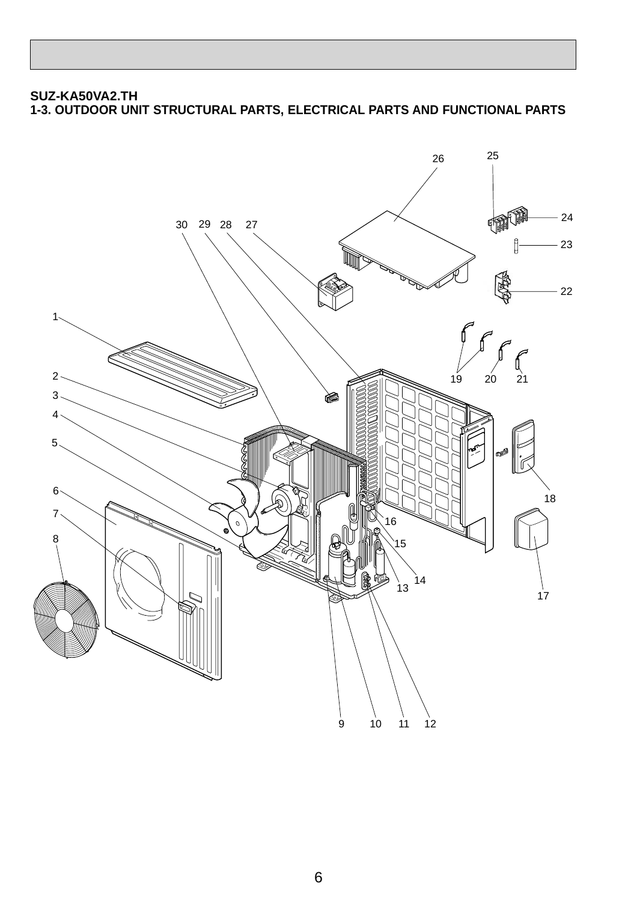#### **SUZ-KA50VA2.TH 1-3. OUTDOOR UNIT STRUCTURAL PARTS, ELECTRICAL PARTS AND FUNCTIONAL PARTS**

![](_page_5_Picture_1.jpeg)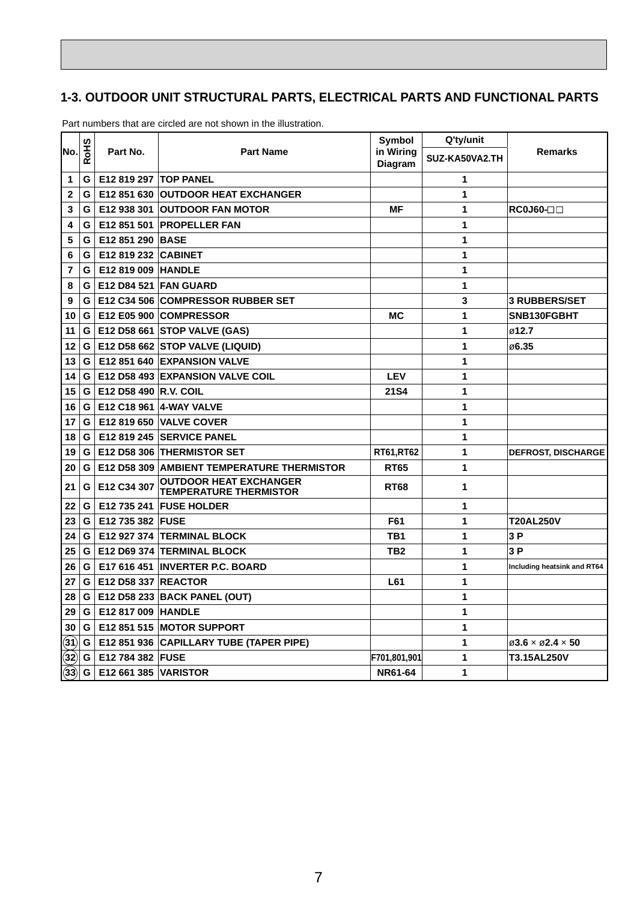## **1-3. OUTDOOR UNIT STRUCTURAL PARTS, ELECTRICAL PARTS AND FUNCTIONAL PARTS**

|                 | SHS |                            |                                                                | <b>Symbol</b>        | Q'ty/unit      |                                                          |
|-----------------|-----|----------------------------|----------------------------------------------------------------|----------------------|----------------|----------------------------------------------------------|
| lNo.l           | œ   | Part No.                   | <b>Part Name</b>                                               | in Wiring<br>Diagram | SUZ-KA50VA2.TH | <b>Remarks</b>                                           |
| 1               | G   | E12 819 297   TOP PANEL    |                                                                |                      | 1              |                                                          |
| $\mathbf{2}$    | G   |                            | <b>E12 851 630 OUTDOOR HEAT EXCHANGER</b>                      |                      | 1              |                                                          |
| 3               | G   | E12 938 301                | <b>OUTDOOR FAN MOTOR</b>                                       | ΜF                   | 1              | $RC0J60-$                                                |
| 4               | G   | E12 851 501                | <b>PROPELLER FAN</b>                                           |                      | 1              |                                                          |
| 5               | G   | E12 851 290 BASE           |                                                                |                      | 1              |                                                          |
| 6               | G   | <b>E12 819 232 CABINET</b> |                                                                |                      | 1              |                                                          |
| 7               | G   | E12 819 009 HANDLE         |                                                                |                      | 1              |                                                          |
| 8               | G   |                            | <b>E12 D84 521 FAN GUARD</b>                                   |                      | 1              |                                                          |
| 9               | G   |                            | E12 C34 506 COMPRESSOR RUBBER SET                              |                      | 3              | <b>3 RUBBERS/SET</b>                                     |
| 10              | G   |                            | E12 E05 900 COMPRESSOR                                         | МC                   | 1              | SNB130FGBHT                                              |
| 11              | G   |                            | E12 D58 661 STOP VALVE (GAS)                                   |                      | 1              | ø12.7                                                    |
| 12              | G   |                            | E12 D58 662 STOP VALVE (LIQUID)                                |                      | 1              | ⊘6.35                                                    |
| 13              | G   |                            | E12 851 640 EXPANSION VALVE                                    |                      | 1              |                                                          |
| 14              | G   |                            | <b>E12 D58 493 EXPANSION VALVE COIL</b>                        | <b>LEV</b>           | 1              |                                                          |
| 15              | G   | E12 D58 490 R.V. COIL      |                                                                | <b>21S4</b>          | 1              |                                                          |
| 16              | G   |                            | E12 C18 961 4-WAY VALVE                                        |                      | 1              |                                                          |
| 17              | G   |                            | <b>E12 819 650 VALVE COVER</b>                                 |                      | 1              |                                                          |
| 18              | G   |                            | E12 819 245 SERVICE PANEL                                      |                      | 1              |                                                          |
| 19              | G   |                            | E12 D58 306 THERMISTOR SET                                     | <b>RT61,RT62</b>     | 1              | <b>DEFROST, DISCHARGE</b>                                |
| 20              | G   |                            | <b>E12 D58 309 AMBIENT TEMPERATURE THERMISTOR</b>              | <b>RT65</b>          | 1              |                                                          |
| 21              | G   | E12 C34 307                | <b>OUTDOOR HEAT EXCHANGER</b><br><b>TEMPERATURE THERMISTOR</b> | <b>RT68</b>          | 1              |                                                          |
| 22              | G   |                            | E12 735 241   FUSE HOLDER                                      |                      | 1              |                                                          |
| 23              | G   | E12 735 382 FUSE           |                                                                | F61                  | 1              | <b>T20AL250V</b>                                         |
| 24              | G   |                            | E12 927 374 TERMINAL BLOCK                                     | TB1                  | 1              | 3P                                                       |
| 25              | G   |                            | E12 D69 374 TERMINAL BLOCK                                     | TB <sub>2</sub>      | 1              | 3P                                                       |
| 26              | G   |                            | E17 616 451 INVERTER P.C. BOARD                                |                      | 1              | Including heatsink and RT64                              |
| 27              | G   | <b>E12 D58 337 REACTOR</b> |                                                                | L61                  | 1              |                                                          |
| 28              | G   |                            | E12 D58 233 BACK PANEL (OUT)                                   |                      | 1              |                                                          |
| 29              | G   | E12 817 009 HANDLE         |                                                                |                      | 1              |                                                          |
| 30              | G   |                            | E12 851 515 MOTOR SUPPORT                                      |                      | 1              |                                                          |
| $\mathbf{(31)}$ | G   |                            | E12 851 936 CAPILLARY TUBE (TAPER PIPE)                        |                      | 1              | $\varnothing$ 3.6 $\times$ $\varnothing$ 2.4 $\times$ 50 |
| $\mathbf{32}$   | G   | E12 784 382 FUSE           |                                                                | F701,801,901         | 1              | T3.15AL250V                                              |
| (33)            | G   | E12 661 385 VARISTOR       |                                                                | <b>NR61-64</b>       | 1              |                                                          |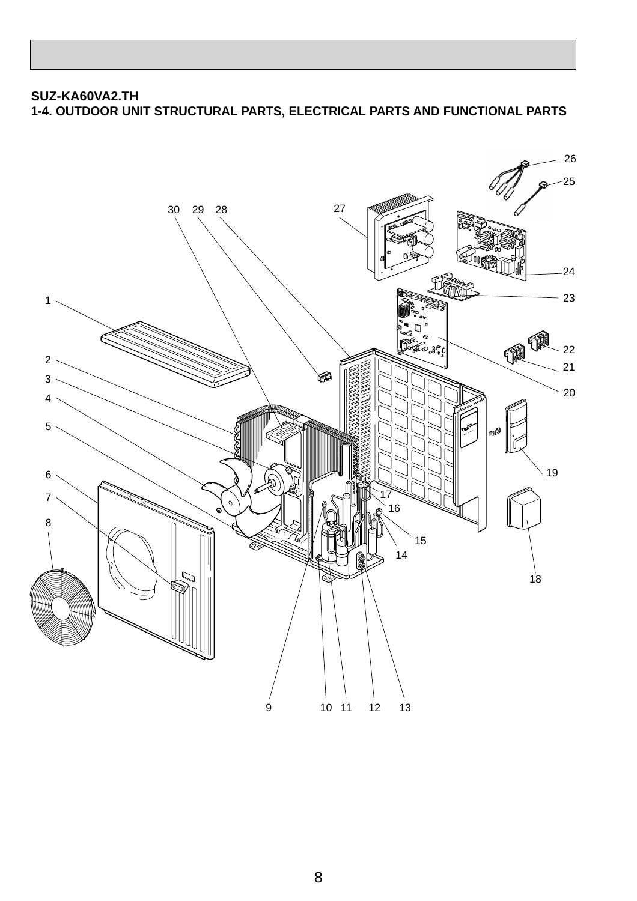## **SUZ-KA60VA2.TH 1-4. OUTDOOR UNIT STRUCTURAL PARTS, ELECTRICAL PARTS AND FUNCTIONAL PARTS**

![](_page_7_Picture_1.jpeg)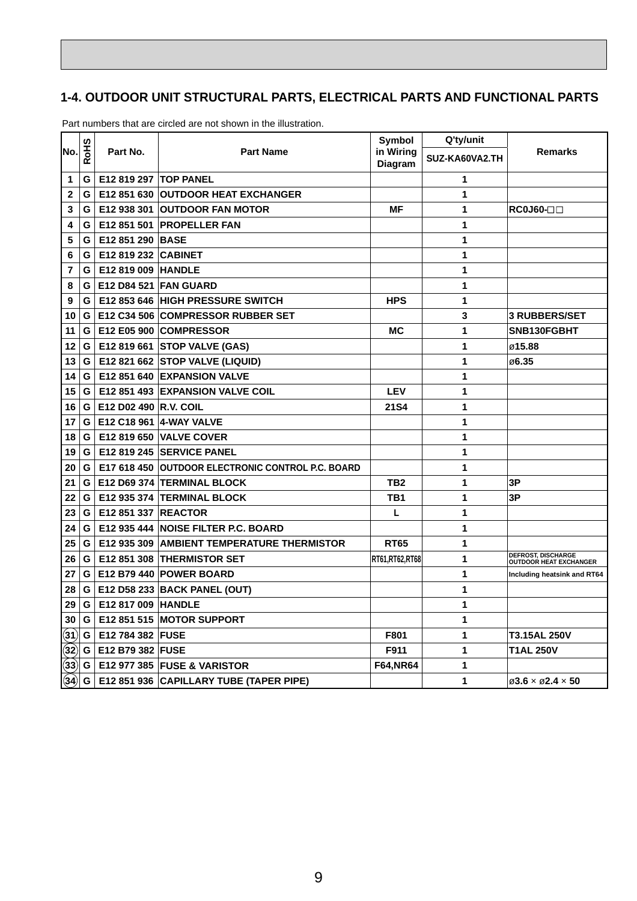## **1-4. OUTDOOR UNIT STRUCTURAL PARTS, ELECTRICAL PARTS AND FUNCTIONAL PARTS**

|             |          |                              |                                                     | Symbol               | Q'ty/unit      |                                                          |
|-------------|----------|------------------------------|-----------------------------------------------------|----------------------|----------------|----------------------------------------------------------|
| No.         | SHO<br>α | Part No.                     | <b>Part Name</b>                                    | in Wiring<br>Diagram | SUZ-KA60VA2.TH | <b>Remarks</b>                                           |
| 1           | G        | <b>E12 819 297 TOP PANEL</b> |                                                     |                      | 1              |                                                          |
| $\mathbf 2$ | G        | E12 851 630                  | <b>OUTDOOR HEAT EXCHANGER</b>                       |                      | 1              |                                                          |
| 3           | G        | E12 938 301                  | <b>OUTDOOR FAN MOTOR</b>                            | ΜF                   | 1              | $RC0J60-$                                                |
| 4           | G        | E12 851 501                  | <b>PROPELLER FAN</b>                                |                      | 1              |                                                          |
| 5           | G        | E12 851 290 BASE             |                                                     |                      | 1              |                                                          |
| 6           | G        | E12 819 232 CABINET          |                                                     |                      | 1              |                                                          |
| 7           | G        | E12 819 009 HANDLE           |                                                     |                      | 1              |                                                          |
| 8           | G        |                              | <b>E12 D84 521 FAN GUARD</b>                        |                      | 1              |                                                          |
| 9           | G        |                              | E12 853 646 HIGH PRESSURE SWITCH                    | <b>HPS</b>           | 1              |                                                          |
| 10          | G        |                              | E12 C34 506 COMPRESSOR RUBBER SET                   |                      | 3              | <b>3 RUBBERS/SET</b>                                     |
| 11          | G        |                              | E12 E05 900 COMPRESSOR                              | МC                   | 1              | SNB130FGBHT                                              |
| 12          | G        |                              | E12 819 661 STOP VALVE (GAS)                        |                      | 1              | ø15.88                                                   |
| 13          | G        |                              | E12 821 662 STOP VALVE (LIQUID)                     |                      | 1              | ⊘6.35                                                    |
| 14          | G        |                              | E12 851 640 EXPANSION VALVE                         |                      | 1              |                                                          |
| 15          | G        |                              | <b>E12 851 493 EXPANSION VALVE COIL</b>             | <b>LEV</b>           | 1              |                                                          |
| 16          | G        | E12 D02 490 R.V. COIL        |                                                     | <b>21S4</b>          | 1              |                                                          |
| 17          | G        |                              | E12 C18 961 4-WAY VALVE                             |                      | 1              |                                                          |
| 18          | G        |                              | <b>E12 819 650 VALVE COVER</b>                      |                      | 1              |                                                          |
| 19          | G        |                              | E12 819 245 SERVICE PANEL                           |                      | 1              |                                                          |
| 20          | G        |                              | E17 618 450 OUTDOOR ELECTRONIC CONTROL P.C. BOARD   |                      | 1              |                                                          |
| 21          | G        |                              | E12 D69 374 TERMINAL BLOCK                          | TB <sub>2</sub>      | 1              | 3Р                                                       |
| 22          | G        |                              | E12 935 374 TERMINAL BLOCK                          | TB1                  | 1              | 3Р                                                       |
| 23          | G        | <b>E12 851 337 REACTOR</b>   |                                                     | L                    | 1              |                                                          |
| 24          | G        |                              | E12 935 444 NOISE FILTER P.C. BOARD                 |                      | 1              |                                                          |
| 25          | G        |                              | <b>E12 935 309   AMBIENT TEMPERATURE THERMISTOR</b> | <b>RT65</b>          | 1              |                                                          |
| 26          | G        |                              | E12 851 308 THERMISTOR SET                          | RT61,RT62,RT68       | 1              | <b>DEFROST, DISCHARGE<br/>OUTDOOR HEAT EXCHANGER</b>     |
| 27          | G        |                              | E12 B79 440 POWER BOARD                             |                      | 1              | Including heatsink and RT64                              |
| 28          | G        |                              | E12 D58 233 BACK PANEL (OUT)                        |                      | 1              |                                                          |
| 29          | G        | E12 817 009 HANDLE           |                                                     |                      | 1              |                                                          |
| 30          | G        |                              | <b>E12 851 515 MOTOR SUPPORT</b>                    |                      | 1              |                                                          |
| 31)         | G        | E12 784 382   FUSE           |                                                     | F801                 | 1              | T3.15AL 250V                                             |
| (32)        | G        | E12 B79 382 FUSE             |                                                     | F911                 | 1              | <b>T1AL 250V</b>                                         |
| (33)        | G        |                              | <b>E12 977 385 FUSE &amp; VARISTOR</b>              | <b>F64,NR64</b>      | 1              |                                                          |
| (34)        | G        |                              | E12 851 936 CAPILLARY TUBE (TAPER PIPE)             |                      | 1              | $\varnothing$ 3.6 $\times$ $\varnothing$ 2.4 $\times$ 50 |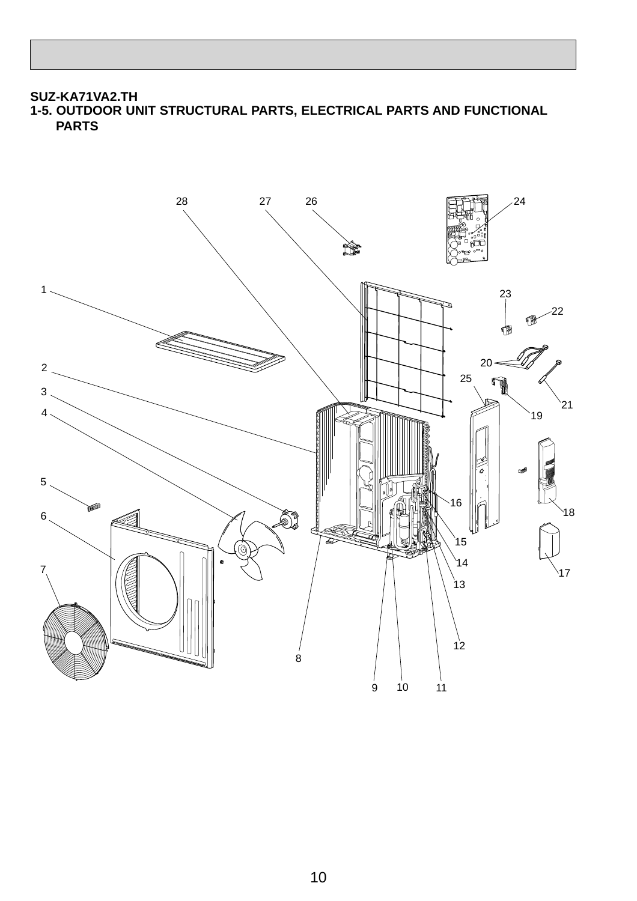## **SUZ-KA71VA2.TH 1-5. OUTDOOR UNIT STRUCTURAL PARTS, ELECTRICAL PARTS AND FUNCTIONAL PARTS**

![](_page_9_Picture_1.jpeg)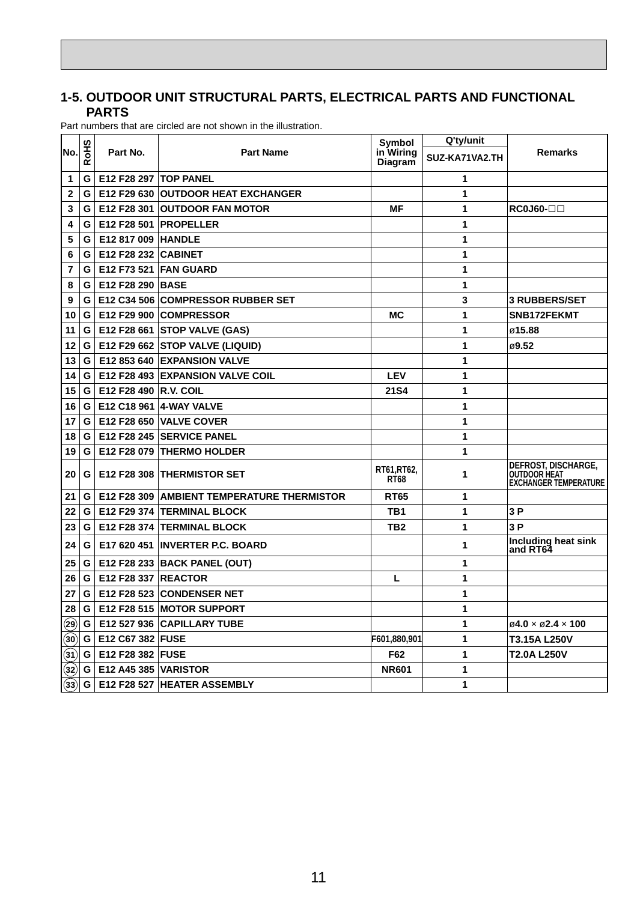#### **1-5. OUTDOOR UNIT STRUCTURAL PARTS, ELECTRICAL PARTS AND FUNCTIONAL PARTS**

|                         |             |                                   |                                                   | Symbol                      | Q'ty/unit      |                                                                            |
|-------------------------|-------------|-----------------------------------|---------------------------------------------------|-----------------------------|----------------|----------------------------------------------------------------------------|
| lNo.l                   | <b>RoHS</b> | Part No.                          | <b>Part Name</b>                                  | in Wiring<br><b>Diagram</b> | SUZ-KA71VA2.TH | <b>Remarks</b>                                                             |
| 1                       | G           | <b>E12 F28 297  TOP PANEL</b>     |                                                   |                             | 1              |                                                                            |
| $\mathbf{2}$            | G           |                                   | <b>E12 F29 630 OUTDOOR HEAT EXCHANGER</b>         |                             | 1              |                                                                            |
| 3                       | G           | E12 F28 301                       | <b>OUTDOOR FAN MOTOR</b>                          | МF                          | 1              | $RC0J60- \square\square$                                                   |
| 4                       | G           | E12 F28 501                       | <b>PROPELLER</b>                                  |                             | 1              |                                                                            |
| 5                       | G           | E12 817 009                       | <b>HANDLE</b>                                     |                             | 1              |                                                                            |
| 6                       | G           | <b>E12 F28 232 CABINET</b>        |                                                   |                             | 1              |                                                                            |
| 7                       | G           |                                   | <b>E12 F73 521 FAN GUARD</b>                      |                             | 1              |                                                                            |
| 8                       | G           | E12 F28 290 BASE                  |                                                   |                             | 1              |                                                                            |
| 9                       | G.          |                                   | <b>E12 C34 506 COMPRESSOR RUBBER SET</b>          |                             | 3              | <b>3 RUBBERS/SET</b>                                                       |
| 10                      | G.          |                                   | E12 F29 900 COMPRESSOR                            | МC                          | 1              | SNB172FEKMT                                                                |
| 11                      | G l         |                                   | E12 F28 661 STOP VALVE (GAS)                      |                             | 1              | ø15.88                                                                     |
| 12                      | G.          |                                   | E12 F29 662 STOP VALVE (LIQUID)                   |                             | 1              | ⊘9.52                                                                      |
| 13                      | G.          |                                   | E12 853 640 EXPANSION VALVE                       |                             | 1              |                                                                            |
| 14                      | G.          |                                   | <b>E12 F28 493 EXPANSION VALVE COIL</b>           | <b>LEV</b>                  | 1              |                                                                            |
| 15                      | G.          | E12 F28 490 R.V. COIL             |                                                   | 21S4                        | 1              |                                                                            |
| 16                      | G.          | E12 C18 961                       | <b>4-WAY VALVE</b>                                |                             | 1              |                                                                            |
| 17                      | G           | E12 F28 650                       | <b>IVALVE COVER</b>                               |                             | 1              |                                                                            |
| 18                      | G           |                                   | E12 F28 245 SERVICE PANEL                         |                             | 1              |                                                                            |
| 19                      | G           |                                   | E12 F28 079 THERMO HOLDER                         |                             | 1              |                                                                            |
| 20                      | G           |                                   | <b>E12 F28 308 THERMISTOR SET</b>                 | RT61,RT62,<br><b>RT68</b>   | 1              | DEFROST, DISCHARGE,<br><b>OUTDOOR HEAT</b><br><b>EXCHANGER TEMPERATURE</b> |
| 21                      | G           |                                   | <b>E12 F28 309 AMBIENT TEMPERATURE THERMISTOR</b> | <b>RT65</b>                 | 1              |                                                                            |
| 22                      | G.          |                                   | E12 F29 374 TERMINAL BLOCK                        | TB1                         | 1              | 3P                                                                         |
| 23                      | G.          |                                   | E12 F28 374 TERMINAL BLOCK                        | TB2                         | 1              | 3P                                                                         |
| 24                      | G           |                                   | E17 620 451 INVERTER P.C. BOARD                   |                             | 1              | Including heat sink<br>and RT64                                            |
| 25                      | G           |                                   | E12 F28 233   BACK PANEL (OUT)                    |                             | 1              |                                                                            |
| 26                      | G           | <b>E12 F28 337 REACTOR</b>        |                                                   | L                           | 1              |                                                                            |
| 27                      | G.          |                                   | E12 F28 523 CONDENSER NET                         |                             | 1              |                                                                            |
| 28                      | G.          |                                   | E12 F28 515 MOTOR SUPPORT                         |                             | 1              |                                                                            |
| $\mathbf{\widehat{29}}$ | G           |                                   | E12 527 936 CAPILLARY TUBE                        |                             | 1              | $\varnothing$ 4.0 $\times$ $\varnothing$ 2.4 $\times$ 100                  |
| 30                      | G I         | E12 C67 382 FUSE                  |                                                   | F601,880,901                | 1              | T3.15A L250V                                                               |
| 31)                     | G l         | E12 F28 382 FUSE                  |                                                   | F62                         | 1              | <b>T2.0A L250V</b>                                                         |
| (32)                    |             | <b>G   E12 A45 385   VARISTOR</b> |                                                   | <b>NR601</b>                | 1              |                                                                            |
| (33)                    | G           |                                   | E12 F28 527 HEATER ASSEMBLY                       |                             | 1              |                                                                            |